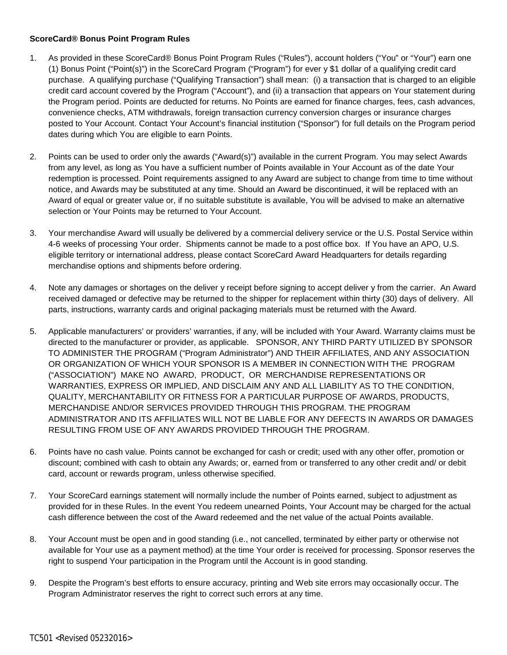## **ScoreCard® Bonus Point Program Rules**

- 1. As provided in these ScoreCard® Bonus Point Program Rules ("Rules"), account holders ("You" or "Your") earn one (1) Bonus Point ("Point(s)") in the ScoreCard Program ("Program") for ever y \$1 dollar of a qualifying credit card purchase. A qualifying purchase ("Qualifying Transaction") shall mean: (i) a transaction that is charged to an eligible credit card account covered by the Program ("Account"), and (ii) a transaction that appears on Your statement during the Program period. Points are deducted for returns. No Points are earned for finance charges, fees, cash advances, convenience checks, ATM withdrawals, foreign transaction currency conversion charges or insurance charges posted to Your Account. Contact Your Account's financial institution ("Sponsor") for full details on the Program period dates during which You are eligible to earn Points.
- 2. Points can be used to order only the awards ("Award(s)") available in the current Program. You may select Awards from any level, as long as You have a sufficient number of Points available in Your Account as of the date Your redemption is processed. Point requirements assigned to any Award are subject to change from time to time without notice, and Awards may be substituted at any time. Should an Award be discontinued, it will be replaced with an Award of equal or greater value or, if no suitable substitute is available, You will be advised to make an alternative selection or Your Points may be returned to Your Account.
- 3. Your merchandise Award will usually be delivered by a commercial delivery service or the U.S. Postal Service within 4-6 weeks of processing Your order. Shipments cannot be made to a post office box. If You have an APO, U.S. eligible territory or international address, please contact ScoreCard Award Headquarters for details regarding merchandise options and shipments before ordering.
- 4. Note any damages or shortages on the deliver y receipt before signing to accept deliver y from the carrier. An Award received damaged or defective may be returned to the shipper for replacement within thirty (30) days of delivery. All parts, instructions, warranty cards and original packaging materials must be returned with the Award.
- 5. Applicable manufacturers' or providers' warranties, if any, will be included with Your Award. Warranty claims must be directed to the manufacturer or provider, as applicable. SPONSOR, ANY THIRD PARTY UTILIZED BY SPONSOR TO ADMINISTER THE PROGRAM ("Program Administrator") AND THEIR AFFILIATES, AND ANY ASSOCIATION OR ORGANIZATION OF WHICH YOUR SPONSOR IS A MEMBER IN CONNECTION WITH THE PROGRAM ("ASSOCIATION") MAKE NO AWARD, PRODUCT, OR MERCHANDISE REPRESENTATIONS OR WARRANTIES, EXPRESS OR IMPLIED, AND DISCLAIM ANY AND ALL LIABILITY AS TO THE CONDITION, QUALITY, MERCHANTABILITY OR FITNESS FOR A PARTICULAR PURPOSE OF AWARDS, PRODUCTS, MERCHANDISE AND/OR SERVICES PROVIDED THROUGH THIS PROGRAM. THE PROGRAM ADMINISTRATOR AND ITS AFFILIATES WILL NOT BE LIABLE FOR ANY DEFECTS IN AWARDS OR DAMAGES RESULTING FROM USE OF ANY AWARDS PROVIDED THROUGH THE PROGRAM.
- 6. Points have no cash value. Points cannot be exchanged for cash or credit; used with any other offer, promotion or discount; combined with cash to obtain any Awards; or, earned from or transferred to any other credit and/ or debit card, account or rewards program, unless otherwise specified.
- 7. Your ScoreCard earnings statement will normally include the number of Points earned, subject to adjustment as provided for in these Rules. In the event You redeem unearned Points, Your Account may be charged for the actual cash difference between the cost of the Award redeemed and the net value of the actual Points available.
- 8. Your Account must be open and in good standing (i.e., not cancelled, terminated by either party or otherwise not available for Your use as a payment method) at the time Your order is received for processing. Sponsor reserves the right to suspend Your participation in the Program until the Account is in good standing.
- 9. Despite the Program's best efforts to ensure accuracy, printing and Web site errors may occasionally occur. The Program Administrator reserves the right to correct such errors at any time.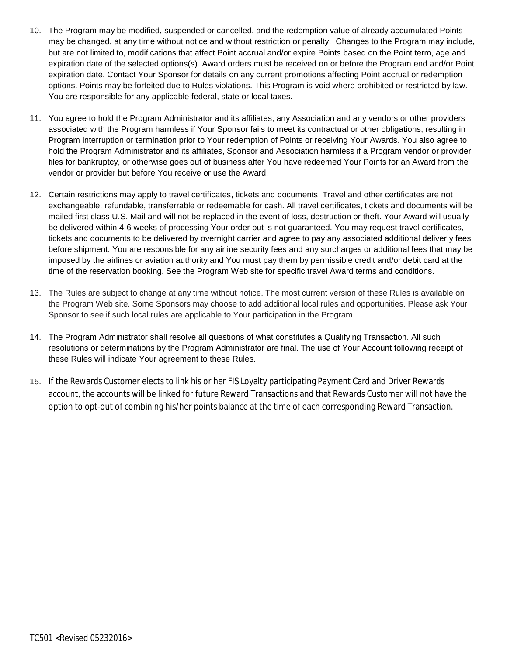- 10. The Program may be modified, suspended or cancelled, and the redemption value of already accumulated Points may be changed, at any time without notice and without restriction or penalty. Changes to the Program may include, but are not limited to, modifications that affect Point accrual and/or expire Points based on the Point term, age and expiration date of the selected options(s). Award orders must be received on or before the Program end and/or Point expiration date. Contact Your Sponsor for details on any current promotions affecting Point accrual or redemption options. Points may be forfeited due to Rules violations. This Program is void where prohibited or restricted by law. You are responsible for any applicable federal, state or local taxes.
- 11. You agree to hold the Program Administrator and its affiliates, any Association and any vendors or other providers associated with the Program harmless if Your Sponsor fails to meet its contractual or other obligations, resulting in Program interruption or termination prior to Your redemption of Points or receiving Your Awards. You also agree to hold the Program Administrator and its affiliates, Sponsor and Association harmless if a Program vendor or provider files for bankruptcy, or otherwise goes out of business after You have redeemed Your Points for an Award from the vendor or provider but before You receive or use the Award.
- 12. Certain restrictions may apply to travel certificates, tickets and documents. Travel and other certificates are not exchangeable, refundable, transferrable or redeemable for cash. All travel certificates, tickets and documents will be mailed first class U.S. Mail and will not be replaced in the event of loss, destruction or theft. Your Award will usually be delivered within 4-6 weeks of processing Your order but is not guaranteed. You may request travel certificates, tickets and documents to be delivered by overnight carrier and agree to pay any associated additional deliver y fees before shipment. You are responsible for any airline security fees and any surcharges or additional fees that may be imposed by the airlines or aviation authority and You must pay them by permissible credit and/or debit card at the time of the reservation booking. See the Program Web site for specific travel Award terms and conditions.
- 13. The Rules are subject to change at any time without notice. The most current version of these Rules is available on the Program Web site. Some Sponsors may choose to add additional local rules and opportunities. Please ask Your Sponsor to see if such local rules are applicable to Your participation in the Program.
- 14. The Program Administrator shall resolve all questions of what constitutes a Qualifying Transaction. All such resolutions or determinations by the Program Administrator are final. The use of Your Account following receipt of these Rules will indicate Your agreement to these Rules.
- 15. If the Rewards Customer elects to link his or her FIS Loyalty participating Payment Card and Driver Rewards account, the accounts will be linked for future Reward Transactions and that Rewards Customer will not have the option to opt-out of combining his/her points balance at the time of each corresponding Reward Transaction.